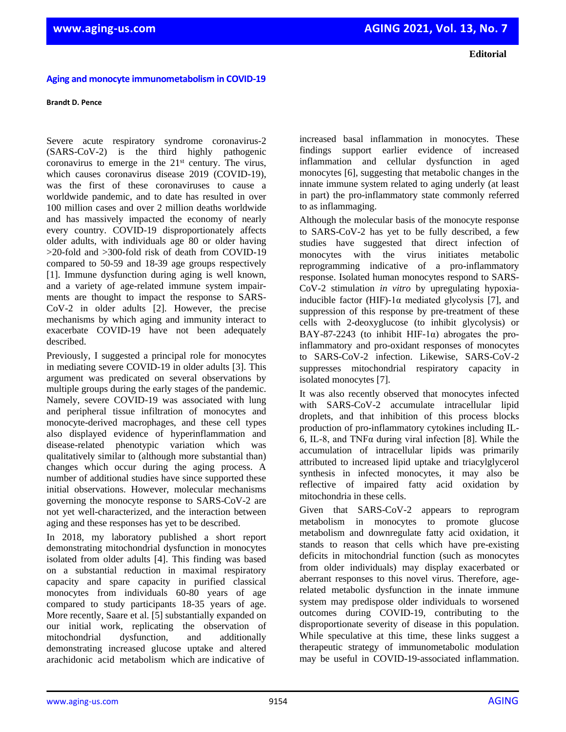## **Aging and monocyte immunometabolism in COVID-19**

## **Brandt D. Pence**

Severe acute respiratory syndrome coronavirus-2 (SARS-CoV-2) is the third highly pathogenic coronavirus to emerge in the  $21<sup>st</sup>$  century. The virus, which causes coronavirus disease 2019 (COVID-19). was the first of these coronaviruses to cause a worldwide pandemic, and to date has resulted in over 100 million cases and over 2 million deaths worldwide and has massively impacted the economy of nearly every country. COVID-19 disproportionately affects older adults, with individuals age 80 or older having >20-fold and >300-fold risk of death from COVID-19 compared to 50-59 and 18-39 age groups respectively [1]. Immune dysfunction during aging is well known, and a variety of age-related immune system impairments are thought to impact the response to SARS-CoV-2 in older adults [2]. However, the precise mechanisms by which aging and immunity interact to exacerbate COVID-19 have not been adequately described.

Previously, I suggested a principal role for monocytes in mediating severe COVID-19 in older adults [3]. This argument was predicated on several observations by multiple groups during the early stages of the pandemic. Namely, severe COVID-19 was associated with lung and peripheral tissue infiltration of monocytes and monocyte-derived macrophages, and these cell types also displayed evidence of hyperinflammation and disease-related phenotypic variation which was qualitatively similar to (although more substantial than) changes which occur during the aging process. A number of additional studies have since supported these initial observations. However, molecular mechanisms governing the monocyte response to SARS-CoV-2 are not yet well-characterized, and the interaction between aging and these responses has yet to be described.

In 2018, my laboratory published a short report demonstrating mitochondrial dysfunction in monocytes isolated from older adults [4]. This finding was based on a substantial reduction in maximal respiratory capacity and spare capacity in purified classical monocytes from individuals 60-80 years of age compared to study participants 18-35 years of age. More recently, Saare et al. [5] substantially expanded on our initial work, replicating the observation of mitochondrial dysfunction, and additionally demonstrating increased glucose uptake and altered arachidonic acid metabolism which are indicative of

increased basal inflammation in monocytes. These findings support earlier evidence of increased inflammation and cellular dysfunction in aged monocytes [6], suggesting that metabolic changes in the innate immune system related to aging underly (at least in part) the pro-inflammatory state commonly referred to as inflammaging.

Although the molecular basis of the monocyte response to SARS-CoV-2 has yet to be fully described, a few studies have suggested that direct infection of monocytes with the virus initiates metabolic reprogramming indicative of a pro-inflammatory response. Isolated human monocytes respond to SARS-CoV-2 stimulation *in vitro* by upregulating hypoxiainducible factor (HIF)-1 $\alpha$  mediated glycolysis [7], and suppression of this response by pre-treatment of these cells with 2-deoxyglucose (to inhibit glycolysis) or BAY-87-2243 (to inhibit HIF-1 $\alpha$ ) abrogates the proinflammatory and pro-oxidant responses of monocytes to SARS-CoV-2 infection. Likewise, SARS-CoV-2 suppresses mitochondrial respiratory capacity in isolated monocytes [7].

It was also recently observed that monocytes infected with SARS-CoV-2 accumulate intracellular lipid droplets, and that inhibition of this process blocks production of pro-inflammatory cytokines including IL-6, IL-8, and TNFα during viral infection [8]. While the accumulation of intracellular lipids was primarily attributed to increased lipid uptake and triacylglycerol synthesis in infected monocytes, it may also be reflective of impaired fatty acid oxidation by mitochondria in these cells.

Given that SARS-CoV-2 appears to reprogram metabolism in monocytes to promote glucose metabolism and downregulate fatty acid oxidation, it stands to reason that cells which have pre-existing deficits in mitochondrial function (such as monocytes from older individuals) may display exacerbated or aberrant responses to this novel virus. Therefore, agerelated metabolic dysfunction in the innate immune system may predispose older individuals to worsened outcomes during COVID-19, contributing to the disproportionate severity of disease in this population. While speculative at this time, these links suggest a therapeutic strategy of immunometabolic modulation may be useful in COVID-19-associated inflammation.